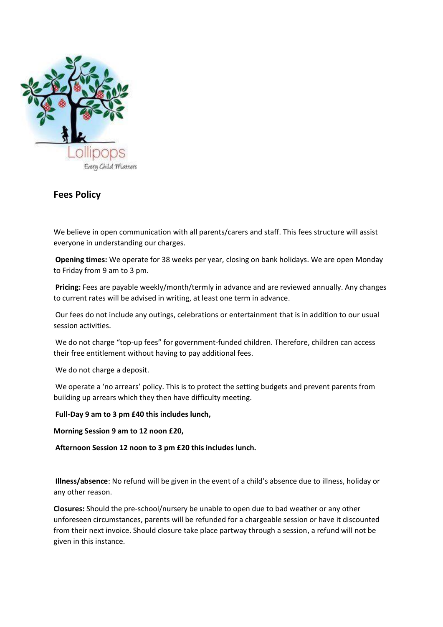

## **Fees Policy**

We believe in open communication with all parents/carers and staff. This fees structure will assist everyone in understanding our charges.

**Opening times:** We operate for 38 weeks per year, closing on bank holidays. We are open Monday to Friday from 9 am to 3 pm.

**Pricing:** Fees are payable weekly/month/termly in advance and are reviewed annually. Any changes to current rates will be advised in writing, at least one term in advance.

Our fees do not include any outings, celebrations or entertainment that is in addition to our usual session activities.

We do not charge "top-up fees" for government-funded children. Therefore, children can access their free entitlement without having to pay additional fees.

We do not charge a deposit.

We operate a 'no arrears' policy. This is to protect the setting budgets and prevent parents from building up arrears which they then have difficulty meeting.

**Full-Day 9 am to 3 pm £40 this includes lunch,** 

**Morning Session 9 am to 12 noon £20,**

**Afternoon Session 12 noon to 3 pm £20 this includes lunch.** 

**Illness/absence**: No refund will be given in the event of a child's absence due to illness, holiday or any other reason.

**Closures:** Should the pre-school/nursery be unable to open due to bad weather or any other unforeseen circumstances, parents will be refunded for a chargeable session or have it discounted from their next invoice. Should closure take place partway through a session, a refund will not be given in this instance.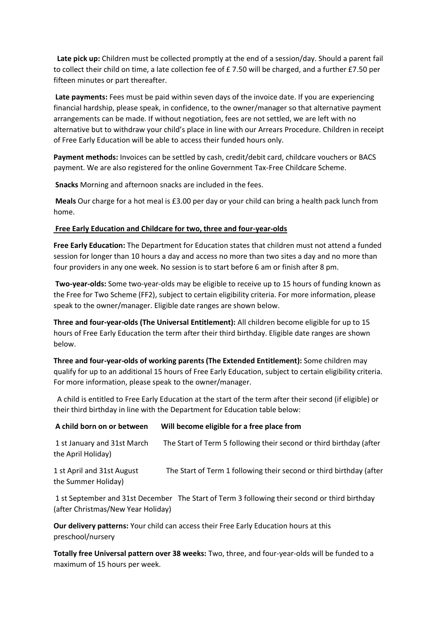**Late pick up:** Children must be collected promptly at the end of a session/day. Should a parent fail to collect their child on time, a late collection fee of £7.50 will be charged, and a further £7.50 per fifteen minutes or part thereafter.

**Late payments:** Fees must be paid within seven days of the invoice date. If you are experiencing financial hardship, please speak, in confidence, to the owner/manager so that alternative payment arrangements can be made. If without negotiation, fees are not settled, we are left with no alternative but to withdraw your child's place in line with our Arrears Procedure. Children in receipt of Free Early Education will be able to access their funded hours only.

**Payment methods:** Invoices can be settled by cash, credit/debit card, childcare vouchers or BACS payment. We are also registered for the online Government Tax-Free Childcare Scheme.

**Snacks** Morning and afternoon snacks are included in the fees.

**Meals** Our charge for a hot meal is £3.00 per day or your child can bring a health pack lunch from home.

## **Free Early Education and Childcare for two, three and four-year-olds**

**Free Early Education:** The Department for Education states that children must not attend a funded session for longer than 10 hours a day and access no more than two sites a day and no more than four providers in any one week. No session is to start before 6 am or finish after 8 pm.

**Two-year-olds:** Some two-year-olds may be eligible to receive up to 15 hours of funding known as the Free for Two Scheme (FF2), subject to certain eligibility criteria. For more information, please speak to the owner/manager. Eligible date ranges are shown below.

**Three and four-year-olds (The Universal Entitlement):** All children become eligible for up to 15 hours of Free Early Education the term after their third birthday. Eligible date ranges are shown below.

**Three and four-year-olds of working parents (The Extended Entitlement):** Some children may qualify for up to an additional 15 hours of Free Early Education, subject to certain eligibility criteria. For more information, please speak to the owner/manager.

 A child is entitled to Free Early Education at the start of the term after their second (if eligible) or their third birthday in line with the Department for Education table below:

| A child born on or between                        | Will become eligible for a free place from                                                    |
|---------------------------------------------------|-----------------------------------------------------------------------------------------------|
| 1 st January and 31st March<br>the April Holiday) | The Start of Term 5 following their second or third birthday (after                           |
| 1 st April and 31st August<br>the Summer Holiday) | The Start of Term 1 following their second or third birthday (after                           |
| (after Christmas/New Year Holiday)                | 1 st September and 31st December The Start of Term 3 following their second or third birthday |

**Our delivery patterns:** Your child can access their Free Early Education hours at this preschool/nursery

**Totally free Universal pattern over 38 weeks:** Two, three, and four-year-olds will be funded to a maximum of 15 hours per week.